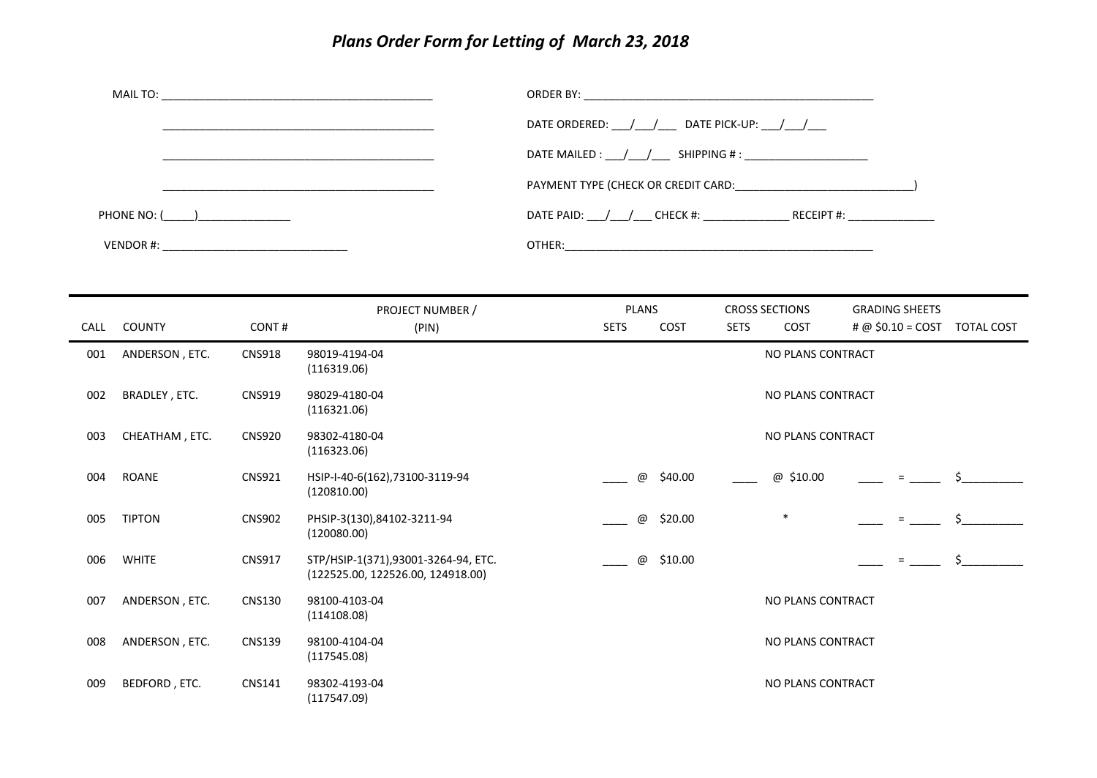## *Plans Order Form for Letting of March 23, 2018*

|               | DATE ORDERED: ___ / ___ / ___ DATE PICK-UP: ___ / ___ / ___    |
|---------------|----------------------------------------------------------------|
|               | DATE MAILED : $\frac{1}{\sqrt{2}}$ SHIPPING # :                |
|               |                                                                |
| PHONE NO: ( ) | DATE PAID: $\left/ \right/ \left/ \right)$ CHECK #: RECEIPT #: |
|               |                                                                |

| CALL | <b>COUNTY</b>  | CONT#         | PROJECT NUMBER /<br>(PIN)                                                | <b>PLANS</b><br><b>SETS</b> | COST    | <b>SETS</b> | <b>CROSS SECTIONS</b><br><b>COST</b> | <b>GRADING SHEETS</b><br>$\# @$ \$0.10 = COST TOTAL COST |  |
|------|----------------|---------------|--------------------------------------------------------------------------|-----------------------------|---------|-------------|--------------------------------------|----------------------------------------------------------|--|
| 001  | ANDERSON, ETC. | <b>CNS918</b> | 98019-4194-04<br>(116319.06)                                             |                             |         |             | NO PLANS CONTRACT                    |                                                          |  |
| 002  | BRADLEY, ETC.  | <b>CNS919</b> | 98029-4180-04<br>(116321.06)                                             |                             |         |             | NO PLANS CONTRACT                    |                                                          |  |
| 003  | CHEATHAM, ETC. | <b>CNS920</b> | 98302-4180-04<br>(116323.06)                                             | NO PLANS CONTRACT           |         |             |                                      |                                                          |  |
| 004  | <b>ROANE</b>   | <b>CNS921</b> | HSIP-I-40-6(162), 73100-3119-94<br>(120810.00)                           | @                           | \$40.00 |             | @ \$10.00                            | $=$                                                      |  |
| 005  | <b>TIPTON</b>  | <b>CNS902</b> | PHSIP-3(130),84102-3211-94<br>(120080.00)                                | @                           | \$20.00 |             | $\ast$                               | $=$                                                      |  |
| 006  | <b>WHITE</b>   | <b>CNS917</b> | STP/HSIP-1(371),93001-3264-94, ETC.<br>(122525.00, 122526.00, 124918.00) | @                           | \$10.00 |             |                                      | $=$                                                      |  |
| 007  | ANDERSON, ETC. | <b>CNS130</b> | 98100-4103-04<br>(114108.08)                                             |                             |         |             | NO PLANS CONTRACT                    |                                                          |  |
| 008  | ANDERSON, ETC. | <b>CNS139</b> | 98100-4104-04<br>(117545.08)                                             |                             |         |             | NO PLANS CONTRACT                    |                                                          |  |
| 009  | BEDFORD, ETC.  | <b>CNS141</b> | 98302-4193-04<br>(117547.09)                                             |                             |         |             | NO PLANS CONTRACT                    |                                                          |  |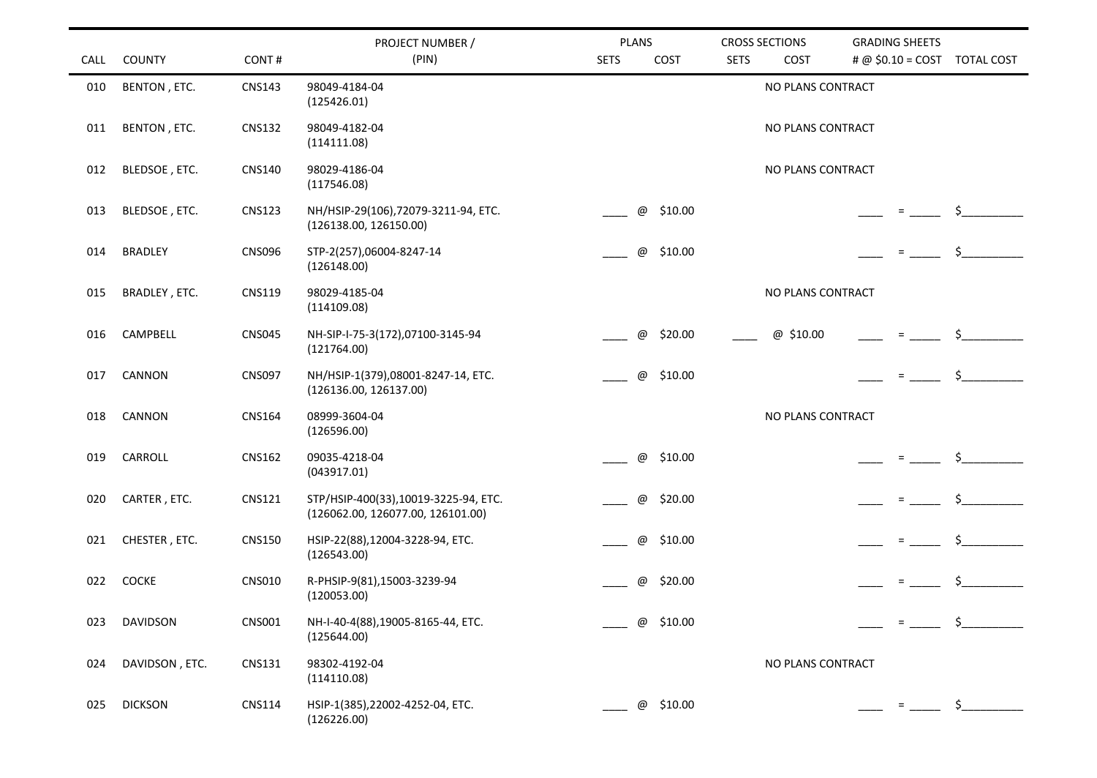|             |                 |               | PROJECT NUMBER /                                                          | <b>PLANS</b> |                          |             | <b>CROSS SECTIONS</b> | <b>GRADING SHEETS</b> |     |                                               |
|-------------|-----------------|---------------|---------------------------------------------------------------------------|--------------|--------------------------|-------------|-----------------------|-----------------------|-----|-----------------------------------------------|
| <b>CALL</b> | <b>COUNTY</b>   | CONT#         | (PIN)                                                                     | <b>SETS</b>  | COST                     | <b>SETS</b> | COST                  |                       |     | # @ \$0.10 = COST TOTAL COST                  |
| 010         | BENTON, ETC.    | <b>CNS143</b> | 98049-4184-04<br>(125426.01)                                              |              |                          |             | NO PLANS CONTRACT     |                       |     |                                               |
| 011         | BENTON, ETC.    | <b>CNS132</b> | 98049-4182-04<br>(114111.08)                                              |              |                          |             | NO PLANS CONTRACT     |                       |     |                                               |
| 012         | BLEDSOE, ETC.   | <b>CNS140</b> | 98029-4186-04<br>(117546.08)                                              |              |                          |             | NO PLANS CONTRACT     |                       |     |                                               |
| 013         | BLEDSOE, ETC.   | <b>CNS123</b> | NH/HSIP-29(106),72079-3211-94, ETC.<br>(126138.00, 126150.00)             |              | \$10.00<br>@             |             |                       |                       |     | \$                                            |
| 014         | <b>BRADLEY</b>  | <b>CNS096</b> | STP-2(257),06004-8247-14<br>(126148.00)                                   |              | \$10.00<br>@             |             |                       |                       |     | Ś.                                            |
| 015         | BRADLEY, ETC.   | <b>CNS119</b> | 98029-4185-04<br>(114109.08)                                              |              |                          |             | NO PLANS CONTRACT     |                       |     |                                               |
| 016         | CAMPBELL        | <b>CNS045</b> | NH-SIP-I-75-3(172),07100-3145-94<br>(121764.00)                           |              | $^\copyright$<br>\$20.00 |             | @ \$10.00             |                       |     |                                               |
| 017         | CANNON          | <b>CNS097</b> | NH/HSIP-1(379),08001-8247-14, ETC.<br>(126136.00, 126137.00)              |              | \$10.00<br>@             |             |                       |                       | $=$ | \$.                                           |
| 018         | CANNON          | <b>CNS164</b> | 08999-3604-04<br>(126596.00)                                              |              |                          |             | NO PLANS CONTRACT     |                       |     |                                               |
| 019         | CARROLL         | <b>CNS162</b> | 09035-4218-04<br>(043917.01)                                              |              | \$10.00<br>@             |             |                       |                       |     |                                               |
| 020         | CARTER, ETC.    | <b>CNS121</b> | STP/HSIP-400(33),10019-3225-94, ETC.<br>(126062.00, 126077.00, 126101.00) |              | \$20.00<br>@             |             |                       |                       |     | \$.                                           |
| 021         | CHESTER, ETC.   | <b>CNS150</b> | HSIP-22(88),12004-3228-94, ETC.<br>(126543.00)                            |              | \$10.00<br>@             |             |                       |                       |     | Ś.                                            |
| 022         | <b>COCKE</b>    | <b>CNS010</b> | R-PHSIP-9(81),15003-3239-94<br>(120053.00)                                |              | \$20.00<br>@             |             |                       |                       |     |                                               |
| 023         | <b>DAVIDSON</b> | <b>CNS001</b> | NH-I-40-4(88),19005-8165-44, ETC.<br>(125644.00)                          |              | \$10.00<br>@             |             |                       |                       |     | $\zeta$                                       |
| 024         | DAVIDSON, ETC.  | <b>CNS131</b> | 98302-4192-04<br>(114110.08)                                              |              |                          |             | NO PLANS CONTRACT     |                       |     |                                               |
| 025         | <b>DICKSON</b>  | <b>CNS114</b> | HSIP-1(385), 22002-4252-04, ETC.<br>(126226.00)                           |              | @ \$10.00                |             |                       |                       |     | $=$ $\frac{1}{2}$ $\frac{1}{2}$ $\frac{1}{2}$ |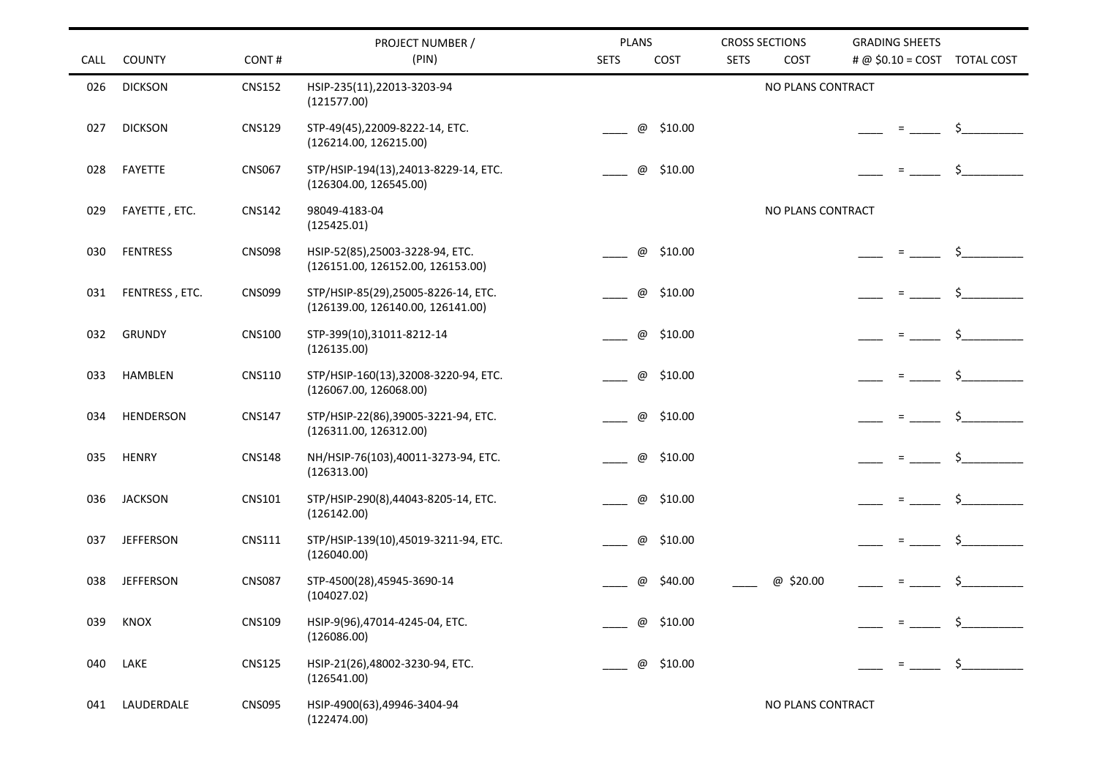|      |                  |               | PROJECT NUMBER /                                                         | <b>PLANS</b>        | <b>CROSS SECTIONS</b> | <b>GRADING SHEETS</b>                   |
|------|------------------|---------------|--------------------------------------------------------------------------|---------------------|-----------------------|-----------------------------------------|
| CALL | <b>COUNTY</b>    | CONT#         | (PIN)                                                                    | <b>SETS</b><br>COST | <b>SETS</b><br>COST   | # @ $$0.10 = COST$<br><b>TOTAL COST</b> |
| 026  | <b>DICKSON</b>   | <b>CNS152</b> | HSIP-235(11),22013-3203-94<br>(121577.00)                                |                     | NO PLANS CONTRACT     |                                         |
| 027  | <b>DICKSON</b>   | <b>CNS129</b> | STP-49(45),22009-8222-14, ETC.<br>(126214.00, 126215.00)                 | \$10.00<br>@        |                       | \$.                                     |
| 028  | FAYETTE          | <b>CNS067</b> | STP/HSIP-194(13),24013-8229-14, ETC.<br>(126304.00, 126545.00)           | \$10.00<br>@        |                       |                                         |
| 029  | FAYETTE, ETC.    | <b>CNS142</b> | 98049-4183-04<br>(125425.01)                                             |                     | NO PLANS CONTRACT     |                                         |
| 030  | <b>FENTRESS</b>  | <b>CNS098</b> | HSIP-52(85),25003-3228-94, ETC.<br>(126151.00, 126152.00, 126153.00)     | \$10.00<br>@        |                       | $\zeta$                                 |
| 031  | FENTRESS, ETC.   | <b>CNS099</b> | STP/HSIP-85(29),25005-8226-14, ETC.<br>(126139.00, 126140.00, 126141.00) | @<br>\$10.00        |                       |                                         |
| 032  | <b>GRUNDY</b>    | <b>CNS100</b> | STP-399(10),31011-8212-14<br>(126135.00)                                 | \$10.00<br>@        |                       |                                         |
| 033  | HAMBLEN          | <b>CNS110</b> | STP/HSIP-160(13),32008-3220-94, ETC.<br>(126067.00, 126068.00)           | @<br>\$10.00        |                       |                                         |
| 034  | <b>HENDERSON</b> | <b>CNS147</b> | STP/HSIP-22(86),39005-3221-94, ETC.<br>(126311.00, 126312.00)            | \$10.00<br>@        |                       | Ŝ.                                      |
| 035  | <b>HENRY</b>     | <b>CNS148</b> | NH/HSIP-76(103),40011-3273-94, ETC.<br>(126313.00)                       | \$10.00<br>@        |                       |                                         |
| 036  | <b>JACKSON</b>   | <b>CNS101</b> | STP/HSIP-290(8),44043-8205-14, ETC.<br>(126142.00)                       | @<br>\$10.00        |                       | Ś.                                      |
| 037  | <b>JEFFERSON</b> | <b>CNS111</b> | STP/HSIP-139(10),45019-3211-94, ETC.<br>(126040.00)                      | \$10.00<br>@        |                       |                                         |
| 038  | <b>JEFFERSON</b> | <b>CNS087</b> | STP-4500(28),45945-3690-14<br>(104027.02)                                | \$40.00<br>@        | @ \$20.00             |                                         |
| 039  | KNOX             | <b>CNS109</b> | HSIP-9(96),47014-4245-04, ETC.<br>(126086.00)                            | \$10.00<br>@        |                       | Ś.                                      |
| 040  | LAKE             | <b>CNS125</b> | HSIP-21(26),48002-3230-94, ETC.<br>(126541.00)                           | \$10.00<br>@        |                       | Ξ.                                      |
| 041  | LAUDERDALE       | <b>CNS095</b> | HSIP-4900(63),49946-3404-94<br>(122474.00)                               |                     | NO PLANS CONTRACT     |                                         |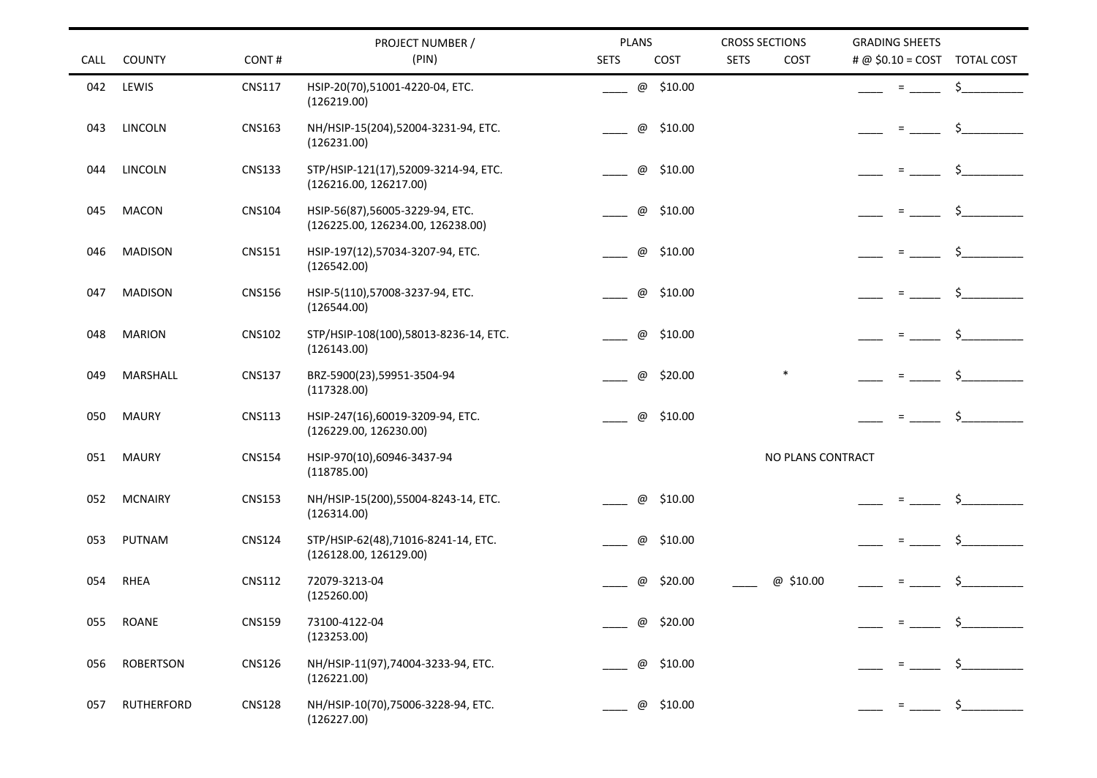|      |                  |               | PROJECT NUMBER /                                                     | <b>PLANS</b>             | <b>CROSS SECTIONS</b> | <b>GRADING SHEETS</b>         |
|------|------------------|---------------|----------------------------------------------------------------------|--------------------------|-----------------------|-------------------------------|
| CALL | <b>COUNTY</b>    | CONT#         | (PIN)                                                                | <b>SETS</b><br>COST      | <b>SETS</b><br>COST   | # @ $$0.10 = COST$ TOTAL COST |
| 042  | LEWIS            | <b>CNS117</b> | HSIP-20(70),51001-4220-04, ETC.<br>(126219.00)                       | @ \$10.00                |                       | \$<br>$\equiv$                |
| 043  | LINCOLN          | <b>CNS163</b> | NH/HSIP-15(204),52004-3231-94, ETC.<br>(126231.00)                   | \$10.00<br>$^\copyright$ |                       | \$                            |
| 044  | <b>LINCOLN</b>   | <b>CNS133</b> | STP/HSIP-121(17),52009-3214-94, ETC.<br>(126216.00, 126217.00)       | \$10.00<br>$^\copyright$ |                       |                               |
| 045  | <b>MACON</b>     | <b>CNS104</b> | HSIP-56(87),56005-3229-94, ETC.<br>(126225.00, 126234.00, 126238.00) | \$10.00<br>$^\copyright$ |                       | Ś.                            |
| 046  | <b>MADISON</b>   | <b>CNS151</b> | HSIP-197(12),57034-3207-94, ETC.<br>(126542.00)                      | \$10.00<br>$^\copyright$ |                       |                               |
| 047  | <b>MADISON</b>   | <b>CNS156</b> | HSIP-5(110),57008-3237-94, ETC.<br>(126544.00)                       | \$10.00<br>$^\copyright$ |                       | \$<br>$\equiv$                |
| 048  | <b>MARION</b>    | <b>CNS102</b> | STP/HSIP-108(100),58013-8236-14, ETC.<br>(126143.00)                 | \$10.00<br>$^\copyright$ |                       |                               |
| 049  | MARSHALL         | <b>CNS137</b> | BRZ-5900(23),59951-3504-94<br>(117328.00)                            | \$20.00<br>$^\copyright$ | $\ast$                | Ŝ.<br>$=$                     |
| 050  | <b>MAURY</b>     | <b>CNS113</b> | HSIP-247(16),60019-3209-94, ETC.<br>(126229.00, 126230.00)           | \$10.00<br>@             |                       | Ś.                            |
| 051  | <b>MAURY</b>     | <b>CNS154</b> | HSIP-970(10),60946-3437-94<br>(118785.00)                            |                          | NO PLANS CONTRACT     |                               |
| 052  | <b>MCNAIRY</b>   | <b>CNS153</b> | NH/HSIP-15(200),55004-8243-14, ETC.<br>(126314.00)                   | \$10.00<br>$^\copyright$ |                       | Ś.<br>$\equiv$                |
| 053  | PUTNAM           | <b>CNS124</b> | STP/HSIP-62(48),71016-8241-14, ETC.<br>(126128.00, 126129.00)        | \$10.00<br>@             |                       |                               |
| 054  | RHEA             | <b>CNS112</b> | 72079-3213-04<br>(125260.00)                                         | \$20.00<br>@             | @ \$10.00             |                               |
| 055  | <b>ROANE</b>     | <b>CNS159</b> | 73100-4122-04<br>(123253.00)                                         | \$20.00<br>@             |                       |                               |
| 056  | <b>ROBERTSON</b> | <b>CNS126</b> | NH/HSIP-11(97),74004-3233-94, ETC.<br>(126221.00)                    | \$10.00<br>@             |                       |                               |
| 057  | RUTHERFORD       | <b>CNS128</b> | NH/HSIP-10(70),75006-3228-94, ETC.<br>(126227.00)                    | @ \$10.00                |                       | $\zeta$<br>$=$                |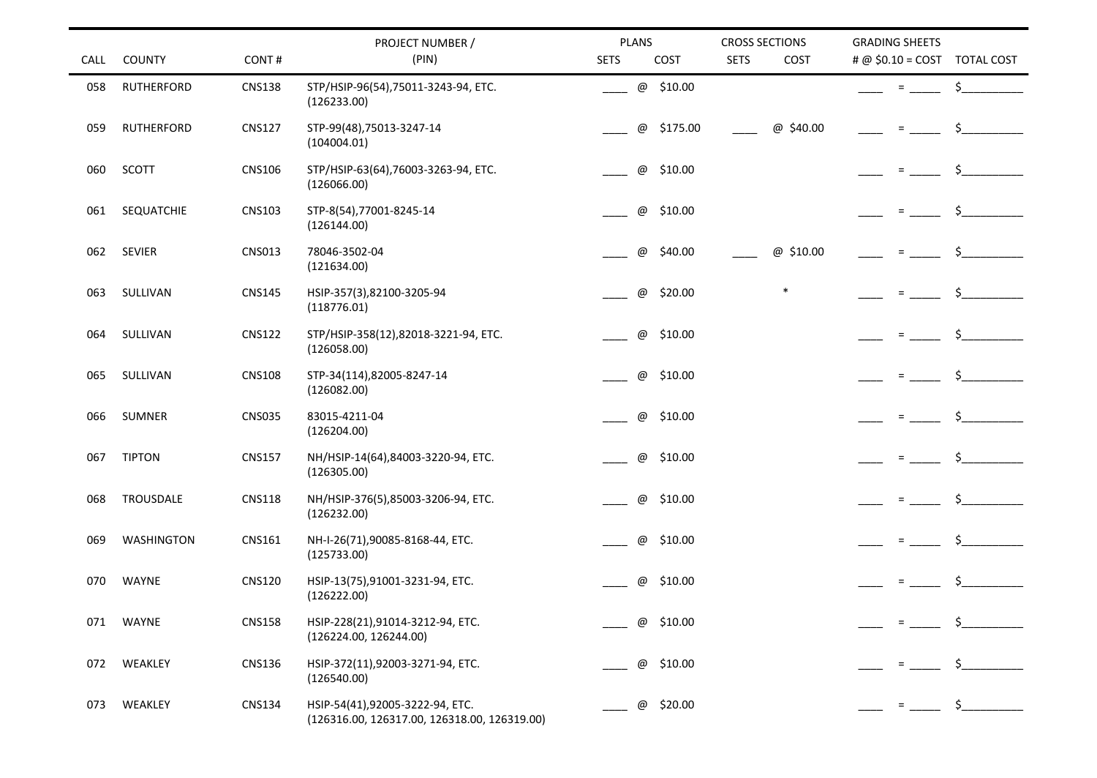|             |                   |               | PROJECT NUMBER /                                                                | <b>PLANS</b>                          | <b>CROSS SECTIONS</b> | <b>GRADING SHEETS</b>        |
|-------------|-------------------|---------------|---------------------------------------------------------------------------------|---------------------------------------|-----------------------|------------------------------|
| <b>CALL</b> | <b>COUNTY</b>     | CONT#         | (PIN)                                                                           | <b>SETS</b><br>COST                   | <b>SETS</b><br>COST   | # @ \$0.10 = COST TOTAL COST |
| 058         | <b>RUTHERFORD</b> | <b>CNS138</b> | STP/HSIP-96(54),75011-3243-94, ETC.<br>(126233.00)                              | @ \$10.00                             |                       | \$<br>$=$                    |
| 059         | <b>RUTHERFORD</b> | <b>CNS127</b> | STP-99(48),75013-3247-14<br>(104004.01)                                         | \$175.00<br>$^\text{\textregistered}$ | @ \$40.00             | \$.<br>$=$                   |
| 060         | SCOTT             | <b>CNS106</b> | STP/HSIP-63(64),76003-3263-94, ETC.<br>(126066.00)                              | $^\text{\textregistered}$<br>\$10.00  |                       | $=$                          |
| 061         | SEQUATCHIE        | <b>CNS103</b> | STP-8(54),77001-8245-14<br>(126144.00)                                          | $^\copyright$<br>\$10.00              |                       | \$                           |
| 062         | <b>SEVIER</b>     | <b>CNS013</b> | 78046-3502-04<br>(121634.00)                                                    | \$40.00<br>$^\text{\textregistered}$  | @ \$10.00             |                              |
| 063         | SULLIVAN          | <b>CNS145</b> | HSIP-357(3),82100-3205-94<br>(118776.01)                                        | $^\copyright$<br>\$20.00              | $\ast$                | \$<br>$\quad \  \  =$        |
| 064         | SULLIVAN          | <b>CNS122</b> | STP/HSIP-358(12),82018-3221-94, ETC.<br>(126058.00)                             | \$10.00<br>$^\text{\textregistered}$  |                       |                              |
| 065         | SULLIVAN          | <b>CNS108</b> | STP-34(114),82005-8247-14<br>(126082.00)                                        | $^\copyright$<br>\$10.00              |                       | \$<br>$=$                    |
| 066         | <b>SUMNER</b>     | <b>CNS035</b> | 83015-4211-04<br>(126204.00)                                                    | $^\copyright$<br>\$10.00              |                       | Ś.                           |
| 067         | <b>TIPTON</b>     | <b>CNS157</b> | NH/HSIP-14(64),84003-3220-94, ETC.<br>(126305.00)                               | $^\text{\textregistered}$<br>\$10.00  |                       |                              |
| 068         | TROUSDALE         | <b>CNS118</b> | NH/HSIP-376(5),85003-3206-94, ETC.<br>(126232.00)                               | $^\copyright$<br>\$10.00              |                       | \$<br>$=$                    |
| 069         | <b>WASHINGTON</b> | CNS161        | NH-I-26(71),90085-8168-44, ETC.<br>(125733.00)                                  | \$10.00<br>$^\text{\textregistered}$  |                       | Ś.                           |
| 070         | <b>WAYNE</b>      | <b>CNS120</b> | HSIP-13(75),91001-3231-94, ETC.<br>(126222.00)                                  | $^\text{\textregistered}$<br>\$10.00  |                       | \$.<br>$\quad =$             |
| 071         | WAYNE             | <b>CNS158</b> | HSIP-228(21),91014-3212-94, ETC.<br>(126224.00, 126244.00)                      | \$10.00<br>@                          |                       | S.                           |
| 072         | WEAKLEY           | <b>CNS136</b> | HSIP-372(11),92003-3271-94, ETC.<br>(126540.00)                                 | \$10.00<br>@                          |                       |                              |
| 073         | WEAKLEY           | <b>CNS134</b> | HSIP-54(41),92005-3222-94, ETC.<br>(126316.00, 126317.00, 126318.00, 126319.00) | \$20.00<br>@                          |                       | Ξ.                           |

÷